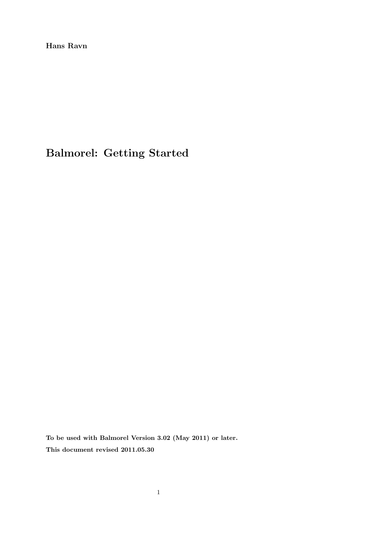**Hans Ravn**

# **Balmorel: Getting Started**

**To be used with Balmorel Version 3.02 (May 2011) or later. This document revised 2011.05.30**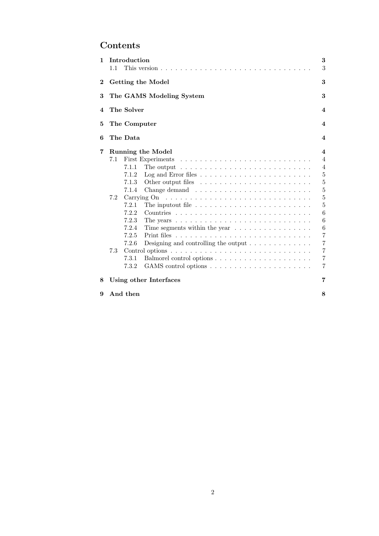## **Contents**

| $\mathbf{1}$ | 1.1                      | Introduction                |                                                                              | 3<br>3                  |  |
|--------------|--------------------------|-----------------------------|------------------------------------------------------------------------------|-------------------------|--|
| $\bf{2}$     |                          | Getting the Model           |                                                                              |                         |  |
| 3            | The GAMS Modeling System |                             |                                                                              | 3                       |  |
| 4            |                          | The Solver                  |                                                                              | $\boldsymbol{4}$        |  |
| 5            | The Computer             |                             |                                                                              | $\overline{\mathbf{4}}$ |  |
| 6            |                          | The Data                    |                                                                              | $\boldsymbol{4}$        |  |
| 7            | Running the Model<br>4   |                             |                                                                              |                         |  |
|              | 7.1                      |                             | First Experiments                                                            | $\overline{4}$          |  |
|              |                          | 7.1.1                       | The output $\ldots \ldots \ldots \ldots \ldots \ldots \ldots \ldots \ldots$  | $\overline{4}$          |  |
|              |                          | 7.1.2                       |                                                                              | $\mathbf 5$             |  |
|              |                          | 7.1.3                       |                                                                              | $\overline{5}$          |  |
|              |                          | 7.1.4                       | Change demand $\ldots \ldots \ldots \ldots \ldots \ldots \ldots \ldots$      | $\overline{5}$          |  |
|              | 7.2                      |                             |                                                                              | 5                       |  |
|              |                          | 7.2.1                       | The input out file $\ldots \ldots \ldots \ldots \ldots \ldots \ldots \ldots$ | 5                       |  |
|              |                          | 7.2.2                       |                                                                              | 6                       |  |
|              |                          | 7.2.3                       |                                                                              | 6                       |  |
|              |                          | 7.2.4                       | Time segments within the year $\dots \dots \dots \dots \dots$                | 6                       |  |
|              |                          | 7.2.5                       |                                                                              | $\overline{7}$          |  |
|              |                          | 7.2.6                       | Designing and controlling the output $\ldots \ldots \ldots \ldots$           | $\overline{7}$          |  |
|              | 7.3                      |                             |                                                                              | $\overline{7}$          |  |
|              |                          | 7.3.1                       |                                                                              | $\overline{7}$          |  |
|              |                          | 7.3.2                       |                                                                              | 7                       |  |
| 8            |                          | 7<br>Using other Interfaces |                                                                              |                         |  |

**9 And then 8**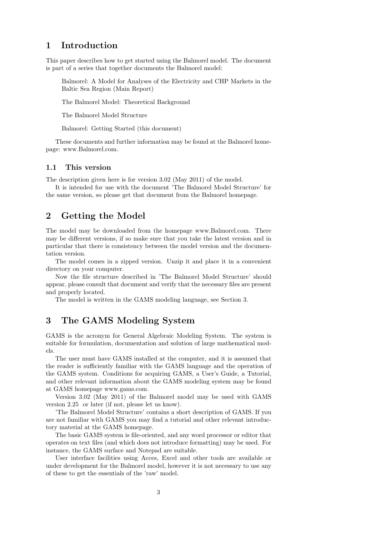## **1 Introduction**

This paper describes how to get started using the Balmorel model. The document is part of a series that together documents the Balmorel model:

Balmorel: A Model for Analyses of the Electricity and CHP Markets in the Baltic Sea Region (Main Report)

The Balmorel Model: Theoretical Background

The Balmorel Model Structure

Balmorel: Getting Started (this document)

These documents and further information may be found at the Balmorel homepage: www.Balmorel.com.

#### **1.1 This version**

The description given here is for version 3.02 (May 2011) of the model.

It is intended for use with the document 'The Balmorel Model Structure' for the same version, so please get that document from the Balmorel homepage.

## **2 Getting the Model**

The model may be downloaded from the homepage www.Balmorel.com. There may be different versions, if so make sure that you take the latest version and in particular that there is consistency between the model version and the documentation version.

The model comes in a zipped version. Unzip it and place it in a convenient directory on your computer.

Now the file structure described in 'The Balmorel Model Structure' should appear, please consult that document and verify that the necessary files are present and properly located.

The model is written in the GAMS modeling language, see Section 3.

## **3 The GAMS Modeling System**

GAMS is the acronym for General Algebraic Modeling System. The system is suitable for formulation, documentation and solution of large mathematical models.

The user must have GAMS installed at the computer, and it is assumed that the reader is sufficiently familiar with the GAMS language and the operation of the GAMS system. Conditions for acquiring GAMS, a User's Guide, a Tutorial, and other relevant information about the GAMS modeling system may be found at GAMS homepage www.gams.com.

Version 3.02 (May 2011) of the Balmorel model may be used with GAMS version 2.25 or later (if not, please let us know).

'The Balmorel Model Structure' contains a short description of GAMS. If you are not familiar with GAMS you may find a tutorial and other relevant introductory material at the GAMS homepage.

The basic GAMS system is file-oriented, and any word processor or editor that operates on text files (and which does not introduce formatting) may be used. For instance, the GAMS surface and Notepad are suitable.

User interface facilities using Acces, Excel and other tools are available or under development for the Balmorel model, however it is not necessary to use any of these to get the essentials of the 'raw' model.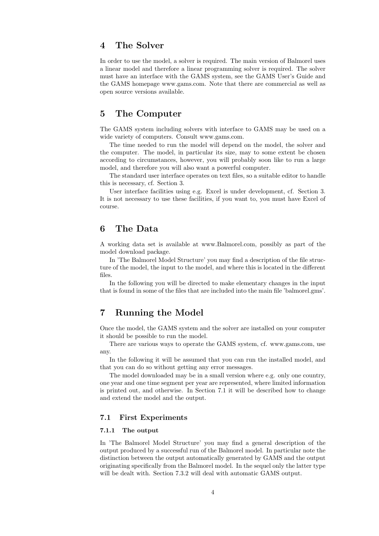## **4 The Solver**

In order to use the model, a solver is required. The main version of Balmorel uses a linear model and therefore a linear programming solver is required. The solver must have an interface with the GAMS system, see the GAMS User's Guide and the GAMS homepage www.gams.com. Note that there are commercial as well as open source versions available.

## **5 The Computer**

The GAMS system including solvers with interface to GAMS may be used on a wide variety of computers. Consult www.gams.com.

The time needed to run the model will depend on the model, the solver and the computer. The model, in particular its size, may to some extent be chosen according to circumstances, however, you will probably soon like to run a large model, and therefore you will also want a powerful computer.

The standard user interface operates on text files, so a suitable editor to handle this is necessary, cf. Section 3.

User interface facilities using e.g. Excel is under development, cf. Section 3. It is not necessary to use these facilities, if you want to, you must have Excel of course.

## **6 The Data**

A working data set is available at www.Balmorel.com, possibly as part of the model download package.

In 'The Balmorel Model Structure' you may find a description of the file structure of the model, the input to the model, and where this is located in the different files.

In the following you will be directed to make elementary changes in the input that is found in some of the files that are included into the main file 'balmorel.gms'.

## **7 Running the Model**

Once the model, the GAMS system and the solver are installed on your computer it should be possible to run the model.

There are various ways to operate the GAMS system, cf. www.gams.com, use any.

In the following it will be assumed that you can run the installed model, and that you can do so without getting any error messages.

The model downloaded may be in a small version where e.g. only one country, one year and one time segment per year are represented, where limited information is printed out, and otherwise. In Section 7.1 it will be described how to change and extend the model and the output.

#### **7.1 First Experiments**

#### **7.1.1 The output**

In 'The Balmorel Model Structure' you may find a general description of the output produced by a successful run of the Balmorel model. In particular note the distinction between the output automatically generated by GAMS and the output originating specifically from the Balmorel model. In the sequel only the latter type will be dealt with. Section 7.3.2 will deal with automatic GAMS output.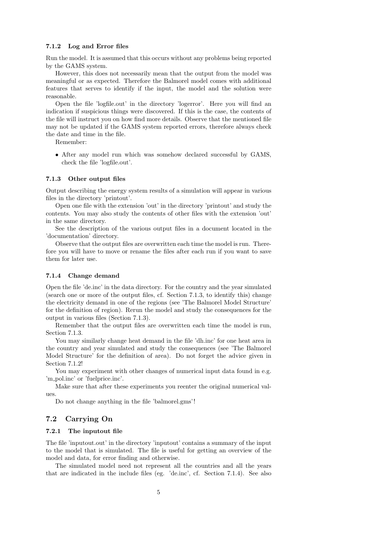#### **7.1.2 Log and Error files**

Run the model. It is assumed that this occurs without any problems being reported by the GAMS system.

However, this does not necessarily mean that the output from the model was meaningful or as expected. Therefore the Balmorel model comes with additional features that serves to identify if the input, the model and the solution were reasonable.

Open the file 'logfile.out' in the directory 'logerror'. Here you will find an indication if suspicious things were discovered. If this is the case, the contents of the file will instruct you on how find more details. Observe that the mentioned file may not be updated if the GAMS system reported errors, therefore always check the date and time in the file.

Remember:

• After any model run which was somehow declared successful by GAMS, check the file 'logfile.out'.

#### **7.1.3 Other output files**

Output describing the energy system results of a simulation will appear in various files in the directory 'printout'.

Open one file with the extension 'out' in the directory 'printout' and study the contents. You may also study the contents of other files with the extension 'out' in the same directory.

See the description of the various output files in a document located in the 'documentation' directory.

Observe that the output files are overwritten each time the model is run. Therefore you will have to move or rename the files after each run if you want to save them for later use.

#### **7.1.4 Change demand**

Open the file 'de.inc' in the data directory. For the country and the year simulated (search one or more of the output files, cf. Section 7.1.3, to identify this) change the electricity demand in one of the regions (see 'The Balmorel Model Structure' for the definition of region). Rerun the model and study the consequences for the output in various files (Section 7.1.3).

Remember that the output files are overwritten each time the model is run, Section 7.1.3.

You may similarly change heat demand in the file 'dh.inc' for one heat area in the country and year simulated and study the consequences (see 'The Balmorel Model Structure' for the definition of area). Do not forget the advice given in Section 7.1.2!

You may experiment with other changes of numerical input data found in e.g. 'm pol.inc' or 'fuelprice.inc'.

Make sure that after these experiments you reenter the original numerical values.

Do not change anything in the file 'balmorel.gms'!

#### **7.2 Carrying On**

#### **7.2.1 The inputout file**

The file 'inputout.out' in the directory 'inputout' contains a summary of the input to the model that is simulated. The file is useful for getting an overview of the model and data, for error finding and otherwise.

The simulated model need not represent all the countries and all the years that are indicated in the include files (eg. 'de.inc', cf. Section 7.1.4). See also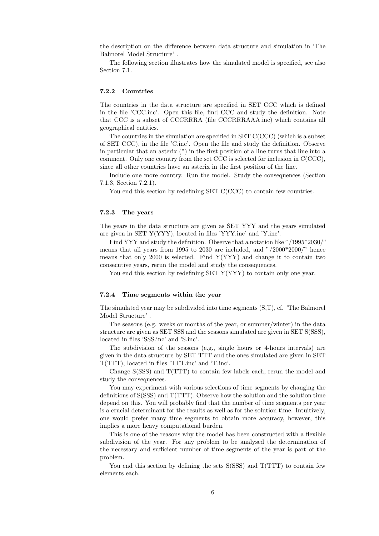the description on the difference between data structure and simulation in 'The Balmorel Model Structure' .

The following section illustrates how the simulated model is specified, see also Section 7.1.

#### **7.2.2 Countries**

The countries in the data structure are specified in SET CCC which is defined in the file 'CCC.inc'. Open this file, find CCC and study the definition. Note that CCC is a subset of CCCRRRA (file CCCRRRAAA.inc) which contains all geographical entities.

The countries in the simulation are specified in SET C(CCC) (which is a subset of SET CCC), in the file 'C.inc'. Open the file and study the definition. Observe in particular that an asterix (\*) in the first position of a line turns that line into a comment. Only one country from the set CCC is selected for inclusion in C(CCC), since all other countries have an asterix in the first position of the line.

Include one more country. Run the model. Study the consequences (Section 7.1.3, Section 7.2.1).

You end this section by redefining SET C(CCC) to contain few countries.

#### **7.2.3 The years**

The years in the data structure are given as SET YYY and the years simulated are given in SET Y(YYY), located in files 'YYY.inc' and 'Y.inc'.

Find YYY and study the definition. Observe that a notation like "/1995\*2030/" means that all years from 1995 to 2030 are included, and "/2000\*2000/" hence means that only 2000 is selected. Find  $Y(YYY)$  and change it to contain two consecutive years, rerun the model and study the consequences.

You end this section by redefining SET Y(YYY) to contain only one year.

#### **7.2.4 Time segments within the year**

The simulated year may be subdivided into time segments (S,T), cf. 'The Balmorel Model Structure' .

The seasons (e.g. weeks or months of the year, or summer/winter) in the data structure are given as SET SSS and the seasons simulated are given in SET S(SSS), located in files 'SSS.inc' and 'S.inc'.

The subdivision of the seasons  $(e.g., g)$  single hours or 4-hours intervals) are given in the data structure by SET TTT and the ones simulated are given in SET T(TTT), located in files 'TTT.inc' and 'T.inc'.

Change S(SSS) and T(TTT) to contain few labels each, rerun the model and study the consequences.

You may experiment with various selections of time segments by changing the definitions of S(SSS) and T(TTT). Observe how the solution and the solution time depend on this. You will probably find that the number of time segments per year is a crucial determinant for the results as well as for the solution time. Intuitively, one would prefer many time segments to obtain more accuracy, however, this implies a more heavy computational burden.

This is one of the reasons why the model has been constructed with a flexible subdivision of the year. For any problem to be analysed the determination of the necessary and sufficient number of time segments of the year is part of the problem.

You end this section by defining the sets  $S(SSS)$  and  $T(TTT)$  to contain few elements each.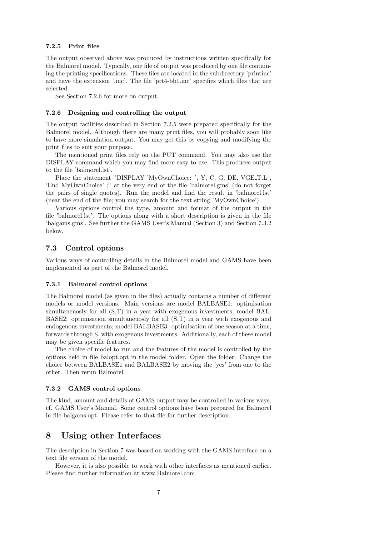#### **7.2.5 Print files**

The output observed above was produced by instructions written specifically for the Balmorel model. Typically, one file of output was produced by one file containing the printing specifications. These files are located in the subdirectory 'printinc' and have the extension '.inc'. The file 'prt4-bb1.inc' specifies which files that are selected.

See Section 7.2.6 for more on output.

#### **7.2.6 Designing and controlling the output**

The output facilities described in Section 7.2.5 were prepared specifically for the Balmorel model. Although there are many print files, you will probably soon like to have more simulation output. You may get this by copying and modifying the print files to suit your purpose.

The mentioned print files rely on the PUT command. You may also use the DISPLAY command which you may find more easy to use. This produces output to the file 'balmorel.lst'.

Place the statement "DISPLAY 'MyOwnChoice: ', Y, C, G, DE, VGE\_T.L, 'End MyOwnChoice' ;" at the very end of the file 'balmorel.gms' (do not forget the pairs of single quotes). Run the model and find the result in 'balmorel.lst' (near the end of the file; you may search for the text string 'MyOwnChoice').

Various options control the type, amount and format of the output in the file 'balmorel.lst'. The options along with a short description is given in the file 'balgams.gms'. See further the GAMS User's Manual (Section 3) and Section 7.3.2 below.

#### **7.3 Control options**

Various ways of controlling details in the Balmorel model and GAMS have been implemented as part of the Balmorel model.

#### **7.3.1 Balmorel control options**

The Balmorel model (as given in the files) actually contains a number of different models or model versions. Main versions are model BALBASE1: optimisation simultaneuosly for all (S,T) in a year with exogenous investments; model BAL-BASE2: optimisation simultaneuosly for all (S,T) in a year with exogenous and endogenous investments; model BALBASE3: optimisation of one season at a time, forwards through S, with exogenous investments. Additionally, each of these model may be given specific features.

The choice of model to run and the features of the model is controlled by the options held in file balopt.opt in the model folder. Open the folder. Change the choice between BALBASE1 and BALBASE2 by moving the 'yes' from one to the other. Then rerun Balmorel.

#### **7.3.2 GAMS control options**

The kind, amount and details of GAMS output may be controlled in various ways, cf. GAMS User's Manual. Some control options have been prepared for Balmorel in file balgams.opt. Please refer to that file for further description.

### **8 Using other Interfaces**

The description in Section 7 was based on working with the GAMS interface on a text file version of the model.

However, it is also possible to work with other interfaces as mentioned earlier. Please find further information at www.Balmorel.com.